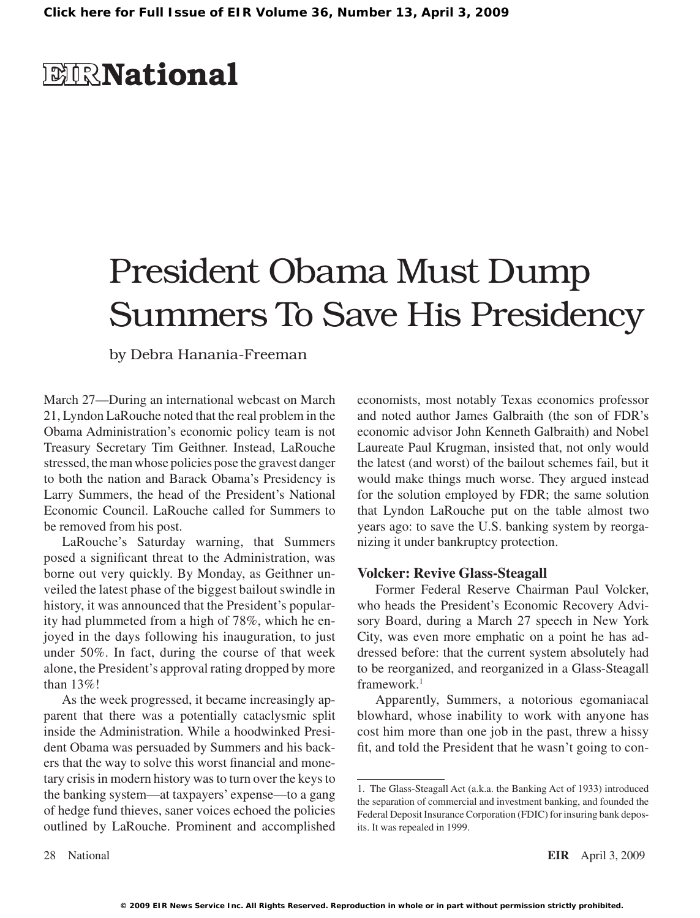## **EIR**National

# President Obama Must Dump Summers To Save His Presidency

by Debra Hanania-Freeman

March 27—During an international webcast on March 21, Lyndon LaRouche noted that the real problem in the Obama Administration's economic policy team is not Treasury Secretary Tim Geithner. Instead, LaRouche stressed, themanwhose policies pose the gravest danger to both the nation and Barack Obama's Presidency is Larry Summers, the head of the President's National Economic Council. LaRouche called for Summers to be removed from his post.

LaRouche's Saturday warning, that Summers posed a significant threat to the Administration, was borne out very quickly. By Monday, as Geithner unveiled the latest phase of the biggest bailout swindle in history, it was announced that the President's popularity had plummeted from a high of 78%, which he enjoyed in the days following his inauguration, to just under 50%. In fact, during the course of that week alone, the President's approval rating dropped by more than 13%!

As the week progressed, it became increasingly apparent that there was a potentially cataclysmic split inside the Administration. While a hoodwinked President Obama was persuaded by Summers and his backers that the way to solve this worst financial and monetary crisis in modern history was to turn over the keys to the banking system—at taxpayers' expense—to a gang of hedge fund thieves, saner voices echoed the policies outlined by LaRouche. Prominent and accomplished

economists, most notably Texas economics professor and noted author James Galbraith (the son of FDR's economic advisor John Kenneth Galbraith) and Nobel Laureate Paul Krugman, insisted that, not only would the latest (and worst) of the bailout schemes fail, but it would make things much worse. They argued instead for the solution employed by FDR; the same solution that Lyndon LaRouche put on the table almost two years ago: to save the U.S. banking system by reorganizing it under bankruptcy protection.

#### **Volcker: Revive Glass-Steagall**

Former Federal Reserve Chairman Paul Volcker, who heads the President's Economic Recovery Advisory Board, during a March 27 speech in New York City, was even more emphatic on a point he has addressed before: that the current system absolutely had to be reorganized, and reorganized in a Glass-Steagall framework.<sup>1</sup>

Apparently, Summers, a notorious egomaniacal blowhard, whose inability to work with anyone has cost him more than one job in the past, threw a hissy fit, and told the President that he wasn't going to con-

<sup>1.</sup> The Glass-Steagall Act (a.k.a. the Banking Act of 1933) introduced the separation of commercial and investment banking, and founded the Federal Deposit Insurance Corporation (FDIC) for insuring bank deposits. It was repealed in 1999.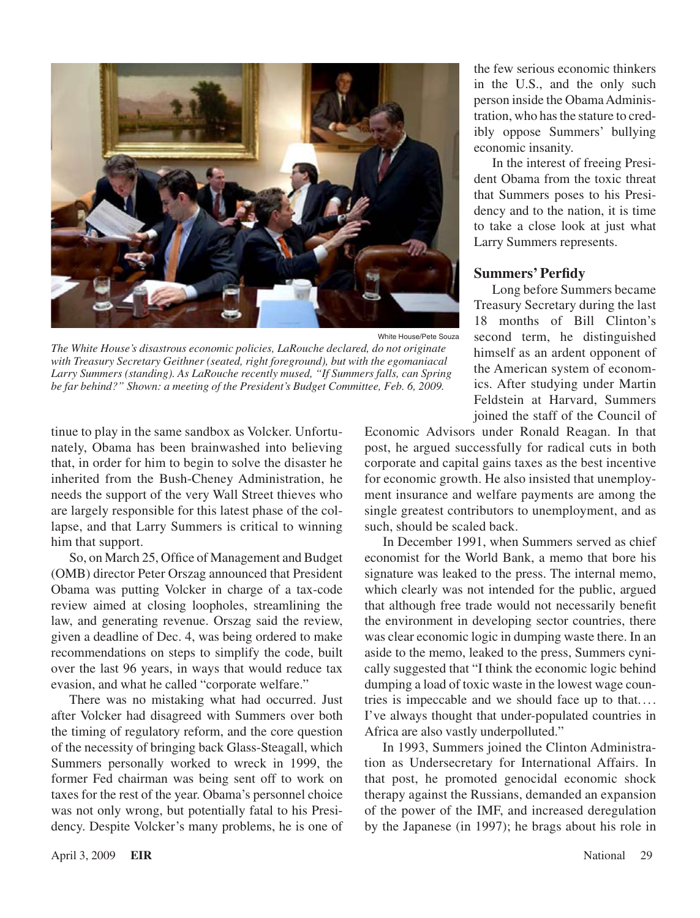

White House/Pete Souza

*The White House's disastrous economic policies, LaRouche declared, do not originate with Treasury Secretary Geithner (seated, right foreground), but with the egomaniacal Larry Summers (standing). As LaRouche recently mused, "If Summers falls, can Spring be far behind?" Shown: a meeting of the President's Budget Committee, Feb. 6, 2009.*

tinue to play in the same sandbox as Volcker. Unfortunately, Obama has been brainwashed into believing that, in order for him to begin to solve the disaster he inherited from the Bush-Cheney Administration, he needs the support of the very Wall Street thieves who are largely responsible for this latest phase of the collapse, and that Larry Summers is critical to winning him that support.

So, on March 25, Office of Management and Budget (OMB) director Peter Orszag announced that President Obama was putting Volcker in charge of a tax-code review aimed at closing loopholes, streamlining the law, and generating revenue. Orszag said the review, given a deadline of Dec. 4, was being ordered to make recommendations on steps to simplify the code, built over the last 96 years, in ways that would reduce tax evasion, and what he called "corporate welfare."

There was no mistaking what had occurred. Just after Volcker had disagreed with Summers over both the timing of regulatory reform, and the core question of the necessity of bringing back Glass-Steagall, which Summers personally worked to wreck in 1999, the former Fed chairman was being sent off to work on taxes for the rest of the year. Obama's personnel choice was not only wrong, but potentially fatal to his Presidency. Despite Volcker's many problems, he is one of the few serious economic thinkers in the U.S., and the only such person inside the Obama Administration, who has the stature to credibly oppose Summers' bullying economic insanity.

In the interest of freeing President Obama from the toxic threat that Summers poses to his Presidency and to the nation, it is time to take a close look at just what Larry Summers represents.

#### **Summers' Perfidy**

Long before Summers became Treasury Secretary during the last 18 months of Bill Clinton's second term, he distinguished himself as an ardent opponent of the American system of economics. After studying under Martin Feldstein at Harvard, Summers joined the staff of the Council of

Economic Advisors under Ronald Reagan. In that post, he argued successfully for radical cuts in both corporate and capital gains taxes as the best incentive for economic growth. He also insisted that unemployment insurance and welfare payments are among the single greatest contributors to unemployment, and as such, should be scaled back.

In December 1991, when Summers served as chief economist for the World Bank, a memo that bore his signature was leaked to the press. The internal memo, which clearly was not intended for the public, argued that although free trade would not necessarily benefit the environment in developing sector countries, there was clear economic logic in dumping waste there. In an aside to the memo, leaked to the press, Summers cynically suggested that "I think the economic logic behind dumping a load of toxic waste in the lowest wage countries is impeccable and we should face up to that.... I've always thought that under-populated countries in Africa are also vastly underpolluted."

In 1993, Summers joined the Clinton Administration as Undersecretary for International Affairs. In that post, he promoted genocidal economic shock therapy against the Russians, demanded an expansion of the power of the IMF, and increased deregulation by the Japanese (in 1997); he brags about his role in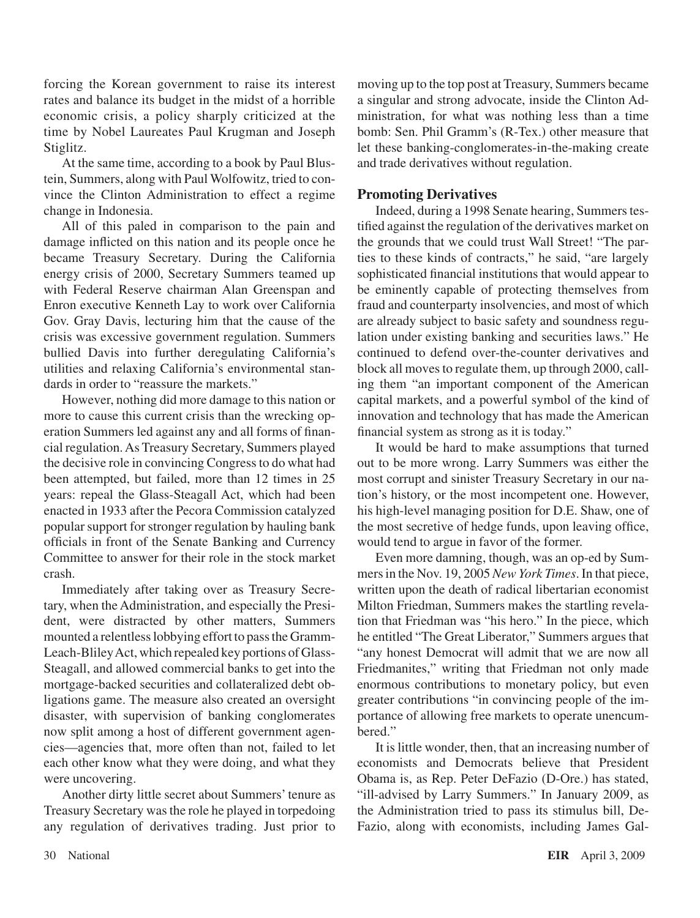forcing the Korean government to raise its interest rates and balance its budget in the midst of a horrible economic crisis, a policy sharply criticized at the time by Nobel Laureates Paul Krugman and Joseph Stiglitz.

At the same time, according to a book by Paul Blustein, Summers, along with Paul Wolfowitz, tried to convince the Clinton Administration to effect a regime change in Indonesia.

All of this paled in comparison to the pain and damage inflicted on this nation and its people once he became Treasury Secretary. During the California energy crisis of 2000, Secretary Summers teamed up with Federal Reserve chairman Alan Greenspan and Enron executive Kenneth Lay to work over California Gov. Gray Davis, lecturing him that the cause of the crisis was excessive government regulation. Summers bullied Davis into further deregulating California's utilities and relaxing California's environmental standards in order to "reassure the markets."

However, nothing did more damage to this nation or more to cause this current crisis than the wrecking operation Summers led against any and all forms of financial regulation.As Treasury Secretary, Summers played the decisive role in convincing Congressto do what had been attempted, but failed, more than 12 times in 25 years: repeal the Glass-Steagall Act, which had been enacted in 1933 after the Pecora Commission catalyzed popular support for stronger regulation by hauling bank officials in front of the Senate Banking and Currency Committee to answer for their role in the stock market crash.

Immediately after taking over as Treasury Secretary, when the Administration, and especially the President, were distracted by other matters, Summers mounted a relentless lobbying effort to pass the Gramm-Leach-Bliley Act, which repealed key portions of Glass-Steagall, and allowed commercial banks to get into the mortgage-backed securities and collateralized debt obligations game. The measure also created an oversight disaster, with supervision of banking conglomerates now split among a host of different government agencies—agencies that, more often than not, failed to let each other know what they were doing, and what they were uncovering.

Another dirty little secret about Summers'tenure as Treasury Secretary wasthe role he played in torpedoing any regulation of derivatives trading. Just prior to

moving up to the top post at Treasury, Summers became a singular and strong advocate, inside the Clinton Administration, for what was nothing less than a time bomb: Sen. Phil Gramm's (R-Tex.) other measure that let these banking-conglomerates-in-the-making create and trade derivatives without regulation.

#### **Promoting Derivatives**

Indeed, during a 1998 Senate hearing, Summers testified against the regulation of the derivatives market on the grounds that we could trust Wall Street! "The parties to these kinds of contracts," he said, "are largely sophisticated financial institutions that would appear to be eminently capable of protecting themselves from fraud and counterparty insolvencies, and most of which are already subject to basic safety and soundness regulation under existing banking and securities laws." He continued to defend over-the-counter derivatives and block all moves to regulate them, up through 2000, calling them "an important component of the American capital markets, and a powerful symbol of the kind of innovation and technology that has made the American financial system as strong as it is today."

It would be hard to make assumptions that turned out to be more wrong. Larry Summers was either the most corrupt and sinister Treasury Secretary in our nation's history, or the most incompetent one. However, his high-level managing position for D.E. Shaw, one of the most secretive of hedge funds, upon leaving office, would tend to argue in favor of the former.

Even more damning, though, was an op-ed by Summersin the Nov. 19, 2005 *New York Times*. In that piece, written upon the death of radical libertarian economist Milton Friedman, Summers makes the startling revelation that Friedman was "his hero." In the piece, which he entitled "The Great Liberator," Summers argues that "any honest Democrat will admit that we are now all Friedmanites," writing that Friedman not only made enormous contributions to monetary policy, but even greater contributions "in convincing people of the importance of allowing free markets to operate unencumbered."

It is little wonder, then, that an increasing number of economists and Democrats believe that President Obama is, as Rep. Peter DeFazio (D-Ore.) has stated, "ill-advised by Larry Summers." In January 2009, as the Administration tried to pass its stimulus bill, De-Fazio, along with economists, including James Gal